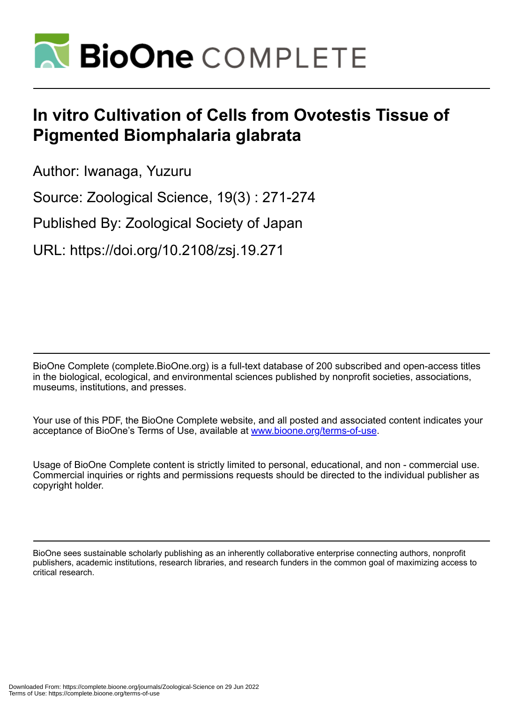

# **In vitro Cultivation of Cells from Ovotestis Tissue of Pigmented Biomphalaria glabrata**

Author: Iwanaga, Yuzuru

Source: Zoological Science, 19(3) : 271-274

Published By: Zoological Society of Japan

URL: https://doi.org/10.2108/zsj.19.271

BioOne Complete (complete.BioOne.org) is a full-text database of 200 subscribed and open-access titles in the biological, ecological, and environmental sciences published by nonprofit societies, associations, museums, institutions, and presses.

Your use of this PDF, the BioOne Complete website, and all posted and associated content indicates your acceptance of BioOne's Terms of Use, available at www.bioone.org/terms-of-use.

Usage of BioOne Complete content is strictly limited to personal, educational, and non - commercial use. Commercial inquiries or rights and permissions requests should be directed to the individual publisher as copyright holder.

BioOne sees sustainable scholarly publishing as an inherently collaborative enterprise connecting authors, nonprofit publishers, academic institutions, research libraries, and research funders in the common goal of maximizing access to critical research.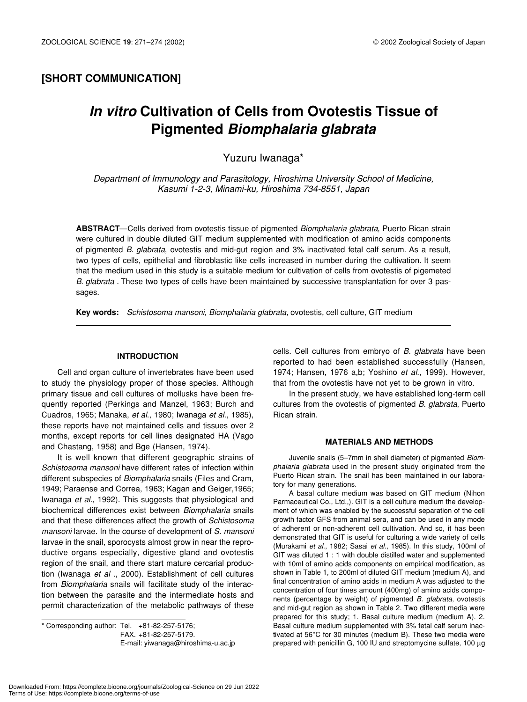### **[SHORT COMMUNICATION]**

## *In vitro* **Cultivation of Cells from Ovotestis Tissue of Pigmented** *Biomphalaria glabrata*

Yuzuru Iwanaga\*

*Department of Immunology and Parasitology, Hiroshima University School of Medicine, Kasumi 1-2-3, Minami-ku, Hiroshima 734-8551, Japan*

**ABSTRACT**—Cells derived from ovotestis tissue of pigmented *Biomphalaria glabrata*, Puerto Rican strain were cultured in double diluted GIT medium supplemented with modification of amino acids components of pigmented *B. glabrata*, ovotestis and mid-gut region and 3% inactivated fetal calf serum. As a result, two types of cells, epithelial and fibroblastic like cells increased in number during the cultivation. It seem that the medium used in this study is a suitable medium for cultivation of cells from ovotestis of pigemeted *B. glabrata* . These two types of cells have been maintained by successive transplantation for over 3 passages.

**Key words:** *Schistosoma mansoni, Biomphalaria glabrata,* ovotestis, cell culture, GIT medium

#### **INTRODUCTION**

Cell and organ culture of invertebrates have been used to study the physiology proper of those species. Although primary tissue and cell cultures of mollusks have been frequently reported (Perkings and Manzel, 1963; Burch and Cuadros, 1965; Manaka, *et al*., 1980; Iwanaga *et al*., 1985), these reports have not maintained cells and tissues over 2 months, except reports for cell lines designated HA (Vago and Chastang, 1958) and Bge (Hansen, 1974).

It is well known that different geographic strains of *Schistosoma mansoni* have different rates of infection within different subspecies of *Biomphalaria* snails (Files and Cram, 1949; Paraense and Correa, 1963; Kagan and Geiger,1965; Iwanaga *et al*., 1992). This suggests that physiological and biochemical differences exist between *Biomphalaria* snails and that these differences affect the growth of *Schistosoma mansoni* larvae. In the course of development of *S. mansoni* larvae in the snail, sporocysts almost grow in near the reproductive organs especially, digestive gland and ovotestis region of the snail, and there start mature cercarial production (Iwanaga *et al* ., 2000). Establishment of cell cultures from *Biomphalaria* snails will facilitate study of the interaction between the parasite and the intermediate hosts and permit characterization of the metabolic pathways of these

\* Corresponding author: Tel. +81-82-257-5176; FAX. +81-82-257-5179. E-mail: yiwanaga@hiroshima-u.ac.jp cells. Cell cultures from embryo of *B. glabrata* have been reported to had been established successfully (Hansen, 1974; Hansen, 1976 a,b; Yoshino *et al*., 1999). However, that from the ovotestis have not yet to be grown in vitro.

In the present study, we have established long-term cell cultures from the ovotestis of pigmented *B. glabrata*, Puerto Rican strain.

#### **MATERIALS AND METHODS**

Juvenile snails (5–7mm in shell diameter) of pigmented *Biomphalaria glabrata* used in the present study originated from the Puerto Rican strain. The snail has been maintained in our laboratory for many generations.

A basal culture medium was based on GIT medium (Nihon Parmaceutical Co., Ltd.,). GIT is a cell culture medium the development of which was enabled by the successful separation of the cell growth factor GFS from animal sera, and can be used in any mode of adherent or non-adherent cell cultivation. And so, it has been demonstrated that GIT is useful for culturing a wide variety of cells (Murakami *et al*., 1982; Sasai *et al*., 1985). In this study, 100ml of GIT was diluted 1 : 1 with double distilled water and supplemented with 10ml of amino acids components on empirical modification, as shown in Table 1, to 200ml of diluted GIT medium (medium A), and final concentration of amino acids in medium A was adjusted to the concentration of four times amount (400mg) of amino acids components (percentage by weight) of pigmented *B. glabrata*, ovotestis and mid-gut region as shown in Table 2. Two different media were prepared for this study; 1. Basal culture medium (medium A). 2. Basal culture medium supplemented with 3% fetal calf serum inactivated at 56°C for 30 minutes (medium B). These two media were prepared with penicillin G, 100 IU and streptomycine sulfate, 100 µg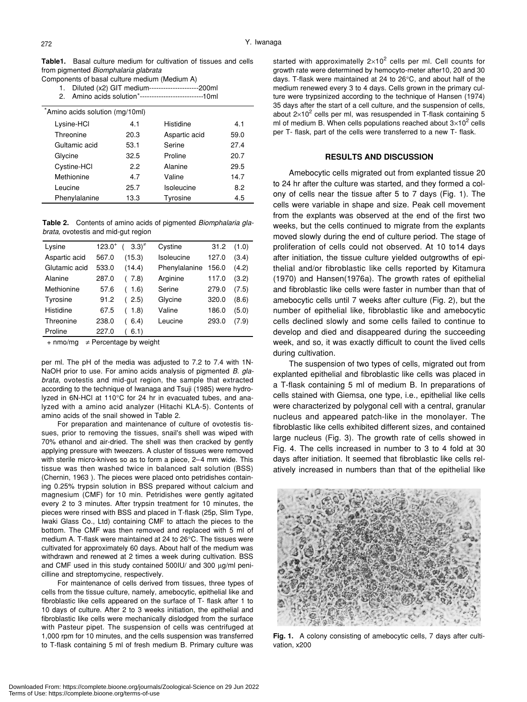**Table1.** Basal culture medium for cultivation of tissues and cells from pigmented *Biomphalaria glabrata*

Components of basal culture medium (Medium A)

|  | Diluted (x2) GIT medium-----------------------200ml |
|--|-----------------------------------------------------|
|  |                                                     |

2. Amino acids solution\*---------------------------10ml

| *Amino acids solution (mg/10ml) |      |               |      |  |  |  |  |
|---------------------------------|------|---------------|------|--|--|--|--|
| Lysine-HCI                      | 4.1  | Histidine     | 4.1  |  |  |  |  |
| Threonine                       | 20.3 | Aspartic acid | 59.0 |  |  |  |  |
| Gultamic acid                   | 53.1 | Serine        | 27.4 |  |  |  |  |
| Glycine                         | 32.5 | Proline       | 20.7 |  |  |  |  |
| Cystine-HCl                     | 22   | Alanine       | 29.5 |  |  |  |  |
| Methionine                      | 4.7  | Valine        | 14.7 |  |  |  |  |
| Leucine                         | 25.7 | Isoleucine    | 8.2  |  |  |  |  |
| Phenylalanine                   | 13.3 | Tyrosine      | 4.5  |  |  |  |  |
|                                 |      |               |      |  |  |  |  |

**Table 2.** Contents of amino acids of pigmented *Biomphalaria glabrata,* ovotestis and mid-gut region

| Lysine        | $123.0^{+}$ | $(3.3)^{2}$ | Cystine       | 31.2  | (1.0) |
|---------------|-------------|-------------|---------------|-------|-------|
| Aspartic acid | 567.0       | (15.3)      | Isoleucine    | 127.0 | (3.4) |
| Glutamic acid | 533.0       | (14.4)      | Phenylalanine | 156.0 | (4.2) |
| Alanine       | 287.0       | 7.8)        | Arginine      | 117.0 | (3.2) |
| Methionine    | 57.6        | 1.6)        | Serine        | 279.0 | (7.5) |
| Tyrosine      | 91.2        | (2.5)       | Glycine       | 320.0 | (8.6) |
| Histidine     | 67.5        | (1.8)       | Valine        | 186.0 | (5.0) |
| Threonine     | 238.0       | 6.4)        | Leucine       | 293.0 | (7.9) |
| Proline       | 227.0       | 6.1)        |               |       |       |

 $+$  nmo/mg  $\neq$  Percentage by weight

per ml. The pH of the media was adjusted to 7.2 to 7.4 with 1N-NaOH prior to use. For amino acids analysis of pigmented *B. glabrata*, ovotestis and mid-gut region, the sample that extracted according to the technique of Iwanaga and Tsuji (1985) were hydrolyzed in 6N-HCl at 110°C for 24 hr in evacuated tubes, and analyzed with a amino acid analyzer (Hitachi KLA-5). Contents of amino acids of the snail showed in Table 2.

For preparation and maintenance of culture of ovotestis tissues, prior to removing the tissues, snail's shell was wiped with 70% ethanol and air-dried. The shell was then cracked by gently applying pressure with tweezers. A cluster of tissues were removed with sterile micro-knives so as to form a piece, 2–4 mm wide. This tissue was then washed twice in balanced salt solution (BSS) (Chernin, 1963 ). The pieces were placed onto petridishes containing 0.25% trypsin solution in BSS prepared without calcium and magnesium (CMF) for 10 min. Petridishes were gently agitated every 2 to 3 minutes. After trypsin treatment for 10 minutes, the pieces were rinsed with BSS and placed in T-flask (25p, Slim Type, Iwaki Glass Co., Ltd) containing CMF to attach the pieces to the bottom. The CMF was then removed and replaced with 5 ml of medium A. T-flask were maintained at 24 to 26°C. The tissues were cultivated for approximately 60 days. About half of the medium was withdrawn and renewed at 2 times a week during cultivation. BSS and CMF used in this study contained 500IU/ and 300 µg/ml penicilline and streptomycine, respectively.

For maintenance of cells derived from tissues, three types of cells from the tissue culture, namely, amebocytic, epithelial like and fibroblastic like cells appeared on the surface of T- flask after 1 to 10 days of culture. After 2 to 3 weeks initiation, the epithelial and fibroblastic like cells were mechanically dislodged from the surface with Pasteur pipet. The suspension of cells was centrifuged at 1,000 rpm for 10 minutes, and the cells suspension was transferred to T-flask containing 5 ml of fresh medium B. Primary culture was

started with approximatelly  $2\times10^2$  cells per ml. Cell counts for growth rate were determined by hemocyto-meter after10, 20 and 30 days. T-flask were maintained at 24 to 26°C, and about half of the medium renewed every 3 to 4 days. Cells grown in the primary culture were trypsinized according to the technique of Hansen (1974) 35 days after the start of a cell culture, and the suspension of cells, about 2 $\times$ 10<sup>2</sup> cells per ml, was resuspended in T-flask containing 5 ml of medium B. When cells populations reached about  $3\times10^2$  cells per T- flask, part of the cells were transferred to a new T- flask.

#### **RESULTS AND DISCUSSION**

Amebocytic cells migrated out from explanted tissue 20 to 24 hr after the culture was started, and they formed a colony of cells near the tissue after 5 to 7 days (Fig. 1). The cells were variable in shape and size. Peak cell movement from the explants was observed at the end of the first two weeks, but the cells continued to migrate from the explants moved slowly during the end of culture period. The stage of proliferation of cells could not observed. At 10 to14 days after initiation, the tissue culture yielded outgrowths of epithelial and/or fibroblastic like cells reported by Kitamura (1970) and Hansen(1976a). The growth rates of epithelial and fibroblastic like cells were faster in number than that of amebocytic cells until 7 weeks after culture (Fig. 2), but the number of epithelial like, fibroblastic like and amebocytic cells declined slowly and some cells failed to continue to develop and died and disappeared during the succeeding week, and so, it was exactly difficult to count the lived cells during cultivation.

The suspension of two types of cells, migrated out from explanted epithelial and fibroblastic like cells was placed in a T-flask containing 5 ml of medium B. In preparations of cells stained with Giemsa, one type, i.e., epithelial like cells were characterized by polygonal cell with a central, granular nucleus and appeared patch-like in the monolayer. The fibroblastic like cells exhibited different sizes, and contained large nucleus (Fig. 3). The growth rate of cells showed in Fig. 4. The cells increased in number to 3 to 4 fold at 30 days after initiation. It seemed that fibroblastic like cells relatively increased in numbers than that of the epithelial like



**Fig. 1.** A colony consisting of amebocytic cells, 7 days after cultivation, x200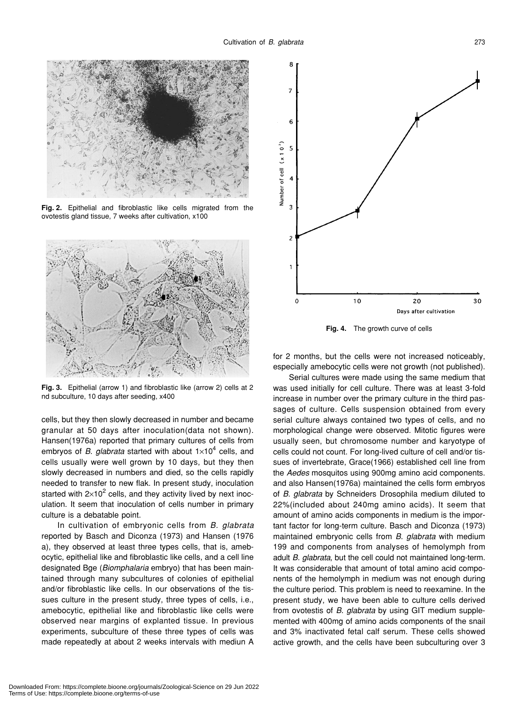

**Fig. 2.** Epithelial and fibroblastic like cells migrated from the ovotestis gland tissue, 7 weeks after cultivation, x100



**Fig. 3.** Epithelial (arrow 1) and fibroblastic like (arrow 2) cells at 2 nd subculture, 10 days after seeding, x400

cells, but they then slowly decreased in number and became granular at 50 days after inoculation(data not shown). Hansen(1976a) reported that primary cultures of cells from embryos of *B. glabrata* started with about 1×10<sup>4</sup> cells, and cells usually were well grown by 10 days, but they then slowly decreased in numbers and died, so the cells rapidly needed to transfer to new flak. In present study, inoculation started with  $2\times10^2$  cells, and they activity lived by next inoculation. It seem that inoculation of cells number in primary culture is a debatable point.

In cultivation of embryonic cells from *B. glabrata* reported by Basch and Diconza (1973) and Hansen (1976 a), they observed at least three types cells, that is, amebocytic, epithelial like and fibroblastic like cells, and a cell line designated Bge (*Biomphalaria* embryo) that has been maintained through many subcultures of colonies of epithelial and/or fibroblastic like cells. In our observations of the tissues culture in the present study, three types of cells, i.e., amebocytic, epithelial like and fibroblastic like cells were observed near margins of explanted tissue. In previous experiments, subculture of these three types of cells was made repeatedly at about 2 weeks intervals with mediun A



**Fig. 4.** The growth curve of cells

for 2 months, but the cells were not increased noticeably, especially amebocytic cells were not growth (not published).

Serial cultures were made using the same medium that was used initially for cell culture. There was at least 3-fold increase in number over the primary culture in the third passages of culture. Cells suspension obtained from every serial culture always contained two types of cells, and no morphological change were observed. Mitotic figures were usually seen, but chromosome number and karyotype of cells could not count. For long-lived culture of cell and/or tissues of invertebrate, Grace(1966) established cell line from the *Aedes* mosquitos using 900mg amino acid components. and also Hansen(1976a) maintained the cells form embryos of *B. glabrata* by Schneiders Drosophila medium diluted to 22%(included about 240mg amino acids). It seem that amount of amino acids components in medium is the important factor for long-term culture. Basch and Diconza (1973) maintained embryonic cells from *B. glabrata* with medium 199 and components from analyses of hemolymph from adult *B. glabrata*, but the cell could not maintained long-term. It was considerable that amount of total amino acid components of the hemolymph in medium was not enough during the culture period. This problem is need to reexamine. In the present study, we have been able to culture cells derived from ovotestis of *B. glabrata* by using GIT medium supplemented with 400mg of amino acids components of the snail and 3% inactivated fetal calf serum. These cells showed active growth, and the cells have been subculturing over 3